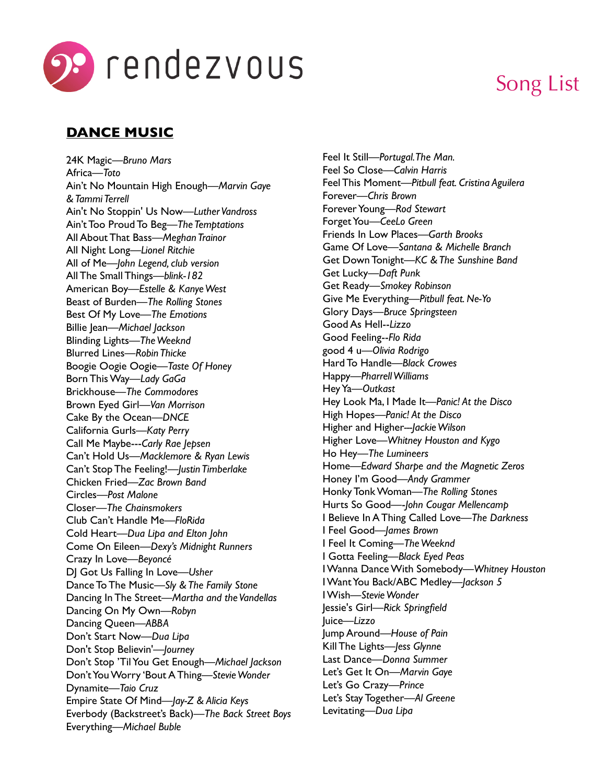

# Song List

# **DANCE MUSIC**

24K Magic—*Bruno Mars* Africa—*Toto* Ain't No Mountain High Enough—*Marvin Gaye & Tammi Terrell* Ain't No Stoppin' Us Now—*Luther Vandross* Ain't Too Proud To Beg—*The Temptations* All About That Bass—*Meghan Trainor* All Night Long—*Lionel Ritchie* All of Me—*John Legend, club version* All The Small Things—*blink-182* American Boy—*Estelle & Kanye West* Beast of Burden—*The Rolling Stones* Best Of My Love—*The Emotions* Billie Jean—*Michael Jackson* Blinding Lights—*The Weeknd* Blurred Lines—*Robin Thicke* Boogie Oogie Oogie—*Taste Of Honey* Born This Way—*Lady GaGa* Brickhouse—*The Commodores* Brown Eyed Girl—*Van Morrison* Cake By the Ocean—*DNCE* California Gurls—*Katy Perry* Call Me Maybe---*Carly Rae Jepsen* Can't Hold Us—*Macklemore & Ryan Lewis* Can't Stop The Feeling!—*Justin Timberlake* Chicken Fried—*Zac Brown Band* Circles—*Post Malone* Closer—*The Chainsmokers* Club Can't Handle Me—*FloRida* Cold Heart—*Dua Lipa and Elton John* Come On Eileen—*Dexy's Midnight Runners* Crazy In Love—*Beyoncé*  DJ Got Us Falling In Love—*Usher* Dance To The Music—*Sly & The Family Stone* Dancing In The Street—*Martha and the Vandellas* Dancing On My Own—*Robyn* Dancing Queen—*ABBA* Don't Start Now—*Dua Lipa* Don't Stop Believin'—*Journey* Don't Stop 'Til You Get Enough—*Michael Jackson* Don't You Worry 'Bout A Thing—*Stevie Wonder* Dynamite—*Taio Cruz* Empire State Of Mind—*Jay-Z & Alicia Keys* Everbody (Backstreet's Back)—*The Back Street Boys* Everything—*Michael Buble*

Feel It Still—*Portugal. The Man.* Feel So Close—*Calvin Harris* Feel This Moment—*Pitbull feat. Cristina Aguilera* Forever—*Chris Brown* Forever Young—*Rod Stewart* Forget You—*CeeLo Green* Friends In Low Places—*Garth Brooks* Game Of Love—*Santana & Michelle Branch* Get Down Tonight—*KC & The Sunshine Band* Get Lucky—*Daft Punk* Get Ready—*Smokey Robinson* Give Me Everything––*Pitbull feat. Ne-Yo* Glory Days—*Bruce Springsteen* Good As Hell--*Lizzo* Good Feeling--*Flo Rida* good 4 u—*Olivia Rodrigo* Hard To Handle—*Black Crowes* Happy—*Pharrell Williams* Hey Ya—*Outkast* Hey Look Ma, I Made It—*Panic! At the Disco* High Hopes—*Panic! At the Disco* Higher and Higher*---Jackie Wilson* Higher Love*—Whitney Houston and Kygo* Ho Hey—*The Lumineers* Home—*Edward Sharpe and the Magnetic Zeros* Honey I'm Good—*Andy Grammer* Honky Tonk Woman—*The Rolling Stones* Hurts So Good—-*John Cougar Mellencamp* I Believe In A Thing Called Love—*The Darkness* I Feel Good—*James Brown* I Feel It Coming—*The Weeknd* I Gotta Feeling—*Black Eyed Peas* I Wanna Dance With Somebody—*Whitney Houston* I Want You Back/ABC Medley—*Jackson 5* I Wish—*Stevie Wonder* Jessie's Girl—*Rick Springfield* Juice—*Lizzo* Jump Around—*House of Pain* Kill The Lights—*Jess Glynne* Last Dance—*Donna Summer* Let's Get It On—*Marvin Gaye* Let's Go Crazy—*Prince* Let's Stay Together—*Al Greene* Levitating—*Dua Lipa*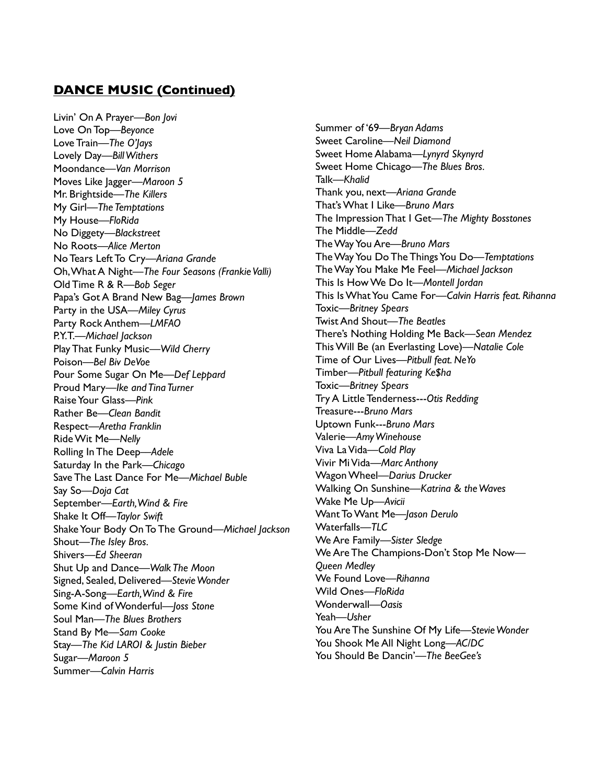#### **DANCE MUSIC (Continued)**

Livin' On A Prayer—*Bon Jovi* Love On Top—*Beyonce* Love Train—*The O'Jays* Lovely Day—*Bill Withers* Moondance—*Van Morrison* Moves Like Jagger—*Maroon 5* Mr. Brightside—*The Killers* My Girl—*The Temptations* My House—*FloRida* No Diggety—*Blackstreet* No Roots—*Alice Merton* No Tears Left To Cry—*Ariana Grande* Oh, What A Night—*The Four Seasons (Frankie Valli)* Old Time R & R—*Bob Seger* Papa's Got A Brand New Bag—*James Brown* Party in the USA––*Miley Cyrus* Party Rock Anthem––*LMFAO* P.Y.T.––*Michael Jackson* Play That Funky Music—*Wild Cherry* Poison—*Bel Biv DeVoe* Pour Some Sugar On Me—*Def Leppard* Proud Mary—*Ike and Tina Turner* Raise Your Glass—*Pink* Rather Be—*Clean Bandit* Respect—*Aretha Franklin* Ride Wit Me—*Nelly* Rolling In The Deep––*Adele* Saturday In the Park—*Chicago* Save The Last Dance For Me—*Michael Buble*  Say So—*Doja Cat* September—*Earth, Wind & Fire* Shake It Off—*Taylor Swift* Shake Your Body On To The Ground—*Michael Jackson* Shout—*The Isley Bros.* Shivers—*Ed Sheeran* Shut Up and Dance—*Walk The Moon* Signed, Sealed, Delivered—*Stevie Wonder* Sing-A-Song—*Earth, Wind & Fire* Some Kind of Wonderful—*Joss Stone* Soul Man—*The Blues Brothers* Stand By Me—*Sam Cooke* Stay—*The Kid LAROI & Justin Bieber* Sugar—*Maroon 5* Summer—*Calvin Harris*

Summer of '69—*Bryan Adams* Sweet Caroline—*Neil Diamond* Sweet Home Alabama—*Lynyrd Skynyrd* Sweet Home Chicago—*The Blues Bros.* Talk—*Khalid* Thank you, next—*Ariana Grande* That's What I Like—*Bruno Mars* The Impression That I Get—*The Mighty Bosstones* The Middle—*Zedd* The Way You Are—*Bruno Mars* The Way You Do The Things You Do—*Temptations* The Way You Make Me Feel––*Michael Jackson* This Is How We Do It—*Montell Jordan* This Is What You Came For—*Calvin Harris feat. Rihanna* Toxic—*Britney Spears* Twist And Shout—*The Beatles* There's Nothing Holding Me Back—*Sean Mendez* This Will Be (an Everlasting Love)—*Natalie Cole* Time of Our Lives—*Pitbull feat. NeYo* Timber—*Pitbull featuring Ke\$ha* Toxic—*Britney Spears* Try A Little Tenderness---*Otis Redding* Treasure---*Bruno Mars* Uptown Funk---*Bruno Mars* Valerie—*Amy Winehouse* Viva La Vida—*Cold Play* Vivir Mi Vida—*Marc Anthony* Wagon Wheel—*Darius Drucker* Walking On Sunshine—*Katrina & the Waves* Wake Me Up—*Avicii* Want To Want Me—*Jason Derulo* Waterfalls—*TLC* We Are Family—*Sister Sledge* We Are The Champions-Don't Stop Me Now— *Queen Medley* We Found Love—*Rihanna* Wild Ones—*FloRida* Wonderwall—*Oasis* Yeah—*Usher* You Are The Sunshine Of My Life—*Stevie Wonder* You Shook Me All Night Long—*AC/DC* You Should Be Dancin'—*The BeeGee's*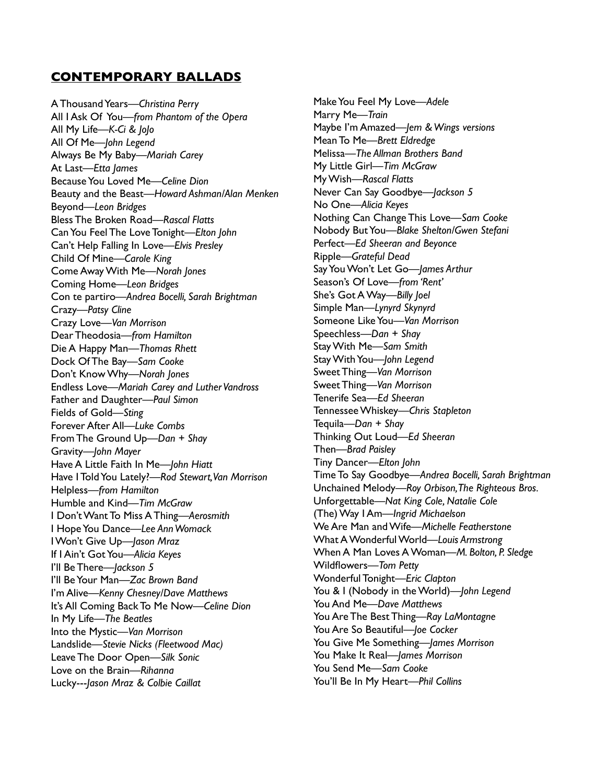#### **CONTEMPORARY BALLADS**

A Thousand Years—*Christina Perry* All I Ask Of You—*from Phantom of the Opera* All My Life—*K-Ci & JoJo* All Of Me—*John Legend* Always Be My Baby—*Mariah Carey* At Last—*Etta James* Because You Loved Me—*Celine Dion* Beauty and the Beast—*Howard Ashman/Alan Menken* Beyond—*Leon Bridges* Bless The Broken Road—*Rascal Flatts* Can You Feel The Love Tonight—*Elton John* Can't Help Falling In Love—*Elvis Presley* Child Of Mine—*Carole King* Come Away With Me—*Norah Jones* Coming Home—*Leon Bridges* Con te partiro—*Andrea Bocelli, Sarah Brightman* Crazy—*Patsy Cline* Crazy Love—*Van Morrison* Dear Theodosia—*from Hamilton* Die A Happy Man—*Thomas Rhett* Dock Of The Bay—*Sam Cooke* Don't Know Why—*Norah Jones* Endless Love—*Mariah Carey and Luther Vandross* Father and Daughter—*Paul Simon* Fields of Gold—*Sting* Forever After All—*Luke Combs* From The Ground Up—*Dan + Shay* Gravity—*John Mayer* Have A Little Faith In Me—*John Hiatt* Have I Told You Lately?—*Rod Stewart, Van Morrison* Helpless—*from Hamilton* Humble and Kind—*Tim McGraw* I Don't Want To Miss A Thing—*Aerosmith* I Hope You Dance—*Lee Ann Womack* I Won't Give Up—*Jason Mraz* If I Ain't Got You—*Alicia Keyes* I'll Be There—*Jackson 5* I'll Be Your Man—*Zac Brown Band* I'm Alive—*Kenny Chesney/Dave Matthews* It's All Coming Back To Me Now—*Celine Dion* In My Life—*The Beatles* Into the Mystic—*Van Morrison* Landslide—*Stevie Nicks (Fleetwood Mac)* Leave The Door Open—*Silk Sonic* Love on the Brain—*Rihanna* Lucky---*Jason Mraz & Colbie Caillat*

Make You Feel My Love––*Adele* Marry Me—*Train* Maybe I'm Amazed—*Jem & Wings versions* Mean To Me—*Brett Eldredge* Melissa—*The Allman Brothers Band* My Little Girl—*Tim McGraw* My Wish—*Rascal Flatts* Never Can Say Goodbye—*Jackson 5* No One—*Alicia Keyes* Nothing Can Change This Love—*Sam Cooke* Nobody But You—*Blake Shelton/Gwen Stefani* Perfect—*Ed Sheeran and Beyonce* Ripple—*Grateful Dead* Say You Won't Let Go—*James Arthur* Season's Of Love—*from 'Rent'* She's Got A Way—*Billy Joel* Simple Man—*Lynyrd Skynyrd* Someone Like You—*Van Morrison* Speechless—*Dan + Shay* Stay With Me—*Sam Smith* Stay With You—*John Legend* Sweet Thing—*Van Morrison* Sweet Thing—*Van Morrison* Tenerife Sea—*Ed Sheeran* Tennessee Whiskey—*Chris Stapleton* Tequila—*Dan + Shay* Thinking Out Loud—*Ed Sheeran* Then—*Brad Paisley* Tiny Dancer—*Elton John* Time To Say Goodbye—*Andrea Bocelli, Sarah Brightman* Unchained Melody—*Roy Orbison, The Righteous Bros.* Unforgettable—*Nat King Cole, Natalie Cole* (The) Way I Am––*Ingrid Michaelson* We Are Man and Wife—*Michelle Featherstone* What A Wonderful World—*Louis Armstrong* When A Man Loves A Woman—*M. Bolton, P. Sledge* Wildflowers—*Tom Petty* Wonderful Tonight—*Eric Clapton* You & I (Nobody in the World)—*John Legend* You And Me—*Dave Matthews* You Are The Best Thing—*Ray LaMontagne* You Are So Beautiful—*Joe Cocker* You Give Me Something—*James Morrison* You Make It Real—*James Morrison* You Send Me—*Sam Cooke* You'll Be In My Heart—*Phil Collins*